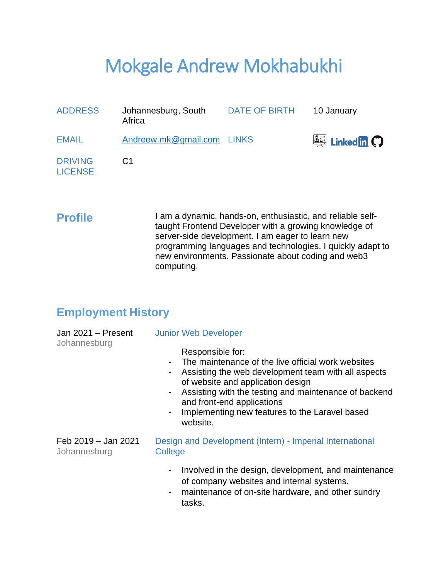# Mokgale Andrew Mokhabukhi

| <b>ADDRESS</b>                   | Johannesburg, South<br>Africa | <b>DATE OF BIRTH</b> | 10 January                                      |
|----------------------------------|-------------------------------|----------------------|-------------------------------------------------|
| <b>EMAIL</b>                     | Andreew.mk@gmail.com LINKS    |                      | $\frac{[a_{ij}]}{[b_{ij}]}$ Linked in $\bigcap$ |
| <b>DRIVING</b><br><b>LICENSE</b> | C <sub>1</sub>                |                      |                                                 |

**Profile** I am a dynamic, hands-on, enthusiastic, and reliable selftaught Frontend Developer with a growing knowledge of server-side development. I am eager to learn new programming languages and technologies. I quickly adapt to new environments. Passionate about coding and web3 computing.

### **Employment History**

| Jan 2021 - Present<br>Johannesburg  | <b>Junior Web Developer</b><br>Responsible for:<br>The maintenance of the live official work websites<br>Assisting the web development team with all aspects<br>of website and application design<br>Assisting with the testing and maintenance of backend<br>$\blacksquare$<br>and front-end applications<br>Implementing new features to the Laravel based<br>$\blacksquare$<br>website. |
|-------------------------------------|--------------------------------------------------------------------------------------------------------------------------------------------------------------------------------------------------------------------------------------------------------------------------------------------------------------------------------------------------------------------------------------------|
| Feb 2019 - Jan 2021<br>Johannesburg | Design and Development (Intern) - Imperial International<br>College                                                                                                                                                                                                                                                                                                                        |
|                                     | Involved in the design, development, and maintenance<br>of company websites and internal systems.<br>maintenance of on-site hardware, and other sundry<br>$\blacksquare$<br>tasks.                                                                                                                                                                                                         |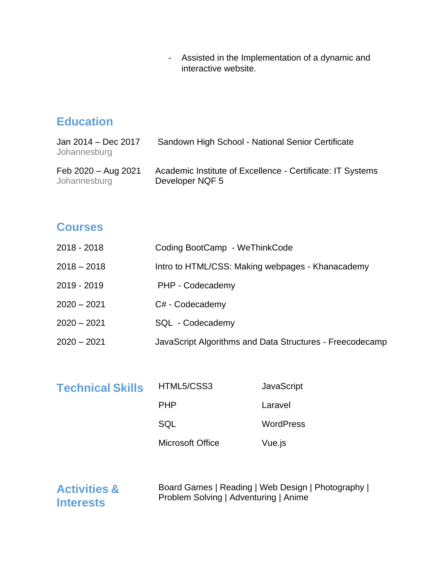- Assisted in the Implementation of a dynamic and interactive website.

# **Education**

| Jan 2014 - Dec 2017<br>Johannesburg | Sandown High School - National Senior Certificate          |
|-------------------------------------|------------------------------------------------------------|
| Feb 2020 - Aug 2021                 | Academic Institute of Excellence - Certificate: IT Systems |
| Johannesburg                        | Developer NQF 5                                            |

#### **Courses**

| 2018 - 2018   | Coding BootCamp - WeThinkCode                            |
|---------------|----------------------------------------------------------|
| $2018 - 2018$ | Intro to HTML/CSS: Making webpages - Khanacademy         |
| 2019 - 2019   | PHP - Codecademy                                         |
| $2020 - 2021$ | C# - Codecademy                                          |
| $2020 - 2021$ | SQL - Codecademy                                         |
| $2020 - 2021$ | JavaScript Algorithms and Data Structures - Freecodecamp |

| <b>Technical Skills</b> | HTML5/CSS3              | <b>JavaScript</b> |
|-------------------------|-------------------------|-------------------|
|                         | <b>PHP</b>              | Laravel           |
|                         | SQL                     | <b>WordPress</b>  |
|                         | <b>Microsoft Office</b> | Vue.js            |

**Activities & Interests**

Board Games | Reading | Web Design | Photography | Problem Solving | Adventuring | Anime